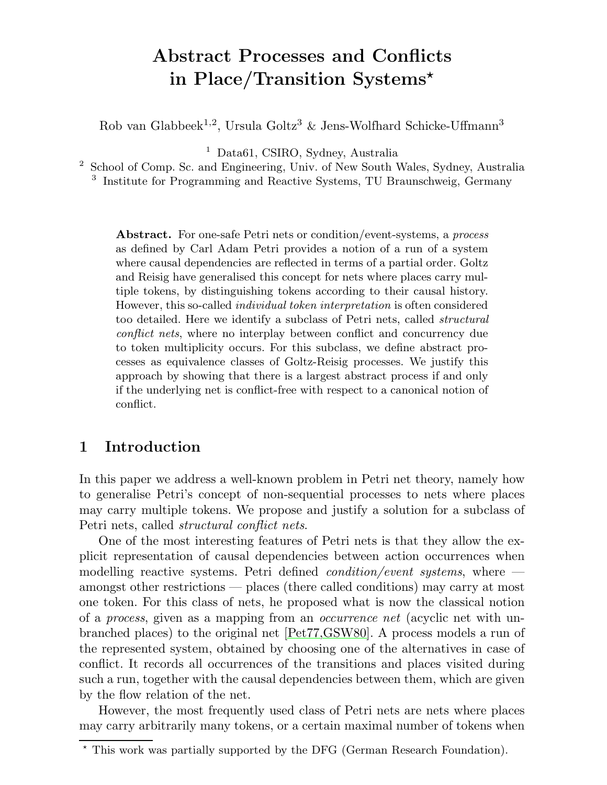# Abstract Processes and Conflicts in Place/Transition Systems\*

Rob van Glabbeek<sup>1,2</sup>, Ursula Goltz<sup>3</sup> & Jens-Wolfhard Schicke-Uffmann<sup>3</sup>

<sup>1</sup> Data61, CSIRO, Sydney, Australia

2 School of Comp. Sc. and Engineering, Univ. of New South Wales, Sydney, Australia <sup>3</sup> Institute for Programming and Reactive Systems, TU Braunschweig, Germany

Abstract. For one-safe Petri nets or condition/event-systems, a process as defined by Carl Adam Petri provides a notion of a run of a system where causal dependencies are reflected in terms of a partial order. Goltz and Reisig have generalised this concept for nets where places carry multiple tokens, by distinguishing tokens according to their causal history. However, this so-called individual token interpretation is often considered too detailed. Here we identify a subclass of Petri nets, called structural conflict nets, where no interplay between conflict and concurrency due to token multiplicity occurs. For this subclass, we define abstract processes as equivalence classes of Goltz-Reisig processes. We justify this approach by showing that there is a largest abstract process if and only if the underlying net is conflict-free with respect to a canonical notion of conflict.

### 1 Introduction

In this paper we address a well-known problem in Petri net theory, namely how to generalise Petri's concept of non-sequential processes to nets where places may carry multiple tokens. We propose and justify a solution for a subclass of Petri nets, called *structural conflict nets*.

One of the most interesting features of Petri nets is that they allow the explicit representation of causal dependencies between action occurrences when modelling reactive systems. Petri defined *condition/event systems*, where  $$ amongst other restrictions — places (there called conditions) may carry at most one token. For this class of nets, he proposed what is now the classical notion of a process, given as a mapping from an occurrence net (acyclic net with unbranched places) to the original net [\[Pet77](#page-20-0)[,GSW80\]](#page-19-0). A process models a run of the represented system, obtained by choosing one of the alternatives in case of conflict. It records all occurrences of the transitions and places visited during such a run, together with the causal dependencies between them, which are given by the flow relation of the net.

However, the most frequently used class of Petri nets are nets where places may carry arbitrarily many tokens, or a certain maximal number of tokens when

<sup>⋆</sup> This work was partially supported by the DFG (German Research Foundation).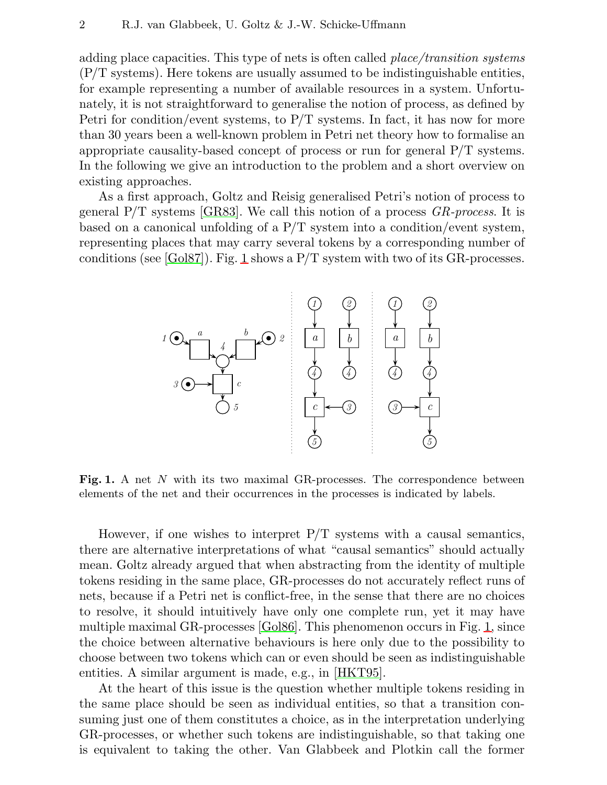adding place capacities. This type of nets is often called *place/transition systems* (P/T systems). Here tokens are usually assumed to be indistinguishable entities, for example representing a number of available resources in a system. Unfortunately, it is not straightforward to generalise the notion of process, as defined by Petri for condition/event systems, to  $P/T$  systems. In fact, it has now for more than 30 years been a well-known problem in Petri net theory how to formalise an appropriate causality-based concept of process or run for general P/T systems. In the following we give an introduction to the problem and a short overview on existing approaches.

As a first approach, Goltz and Reisig generalised Petri's notion of process to general  $P/T$  systems [\[GR83\]](#page-19-1). We call this notion of a process  $GR\text{-}process$ . It is based on a canonical unfolding of a P/T system into a condition/event system, representing places that may carry several tokens by a corresponding number of conditions (see  $[Gold 7]$ ). Fig. [1](#page-1-0) shows a  $P/T$  system with two of its GR-processes.



<span id="page-1-0"></span>Fig. 1. A net  $N$  with its two maximal GR-processes. The correspondence between elements of the net and their occurrences in the processes is indicated by labels.

However, if one wishes to interpret P/T systems with a causal semantics, there are alternative interpretations of what "causal semantics" should actually mean. Goltz already argued that when abstracting from the identity of multiple tokens residing in the same place, GR-processes do not accurately reflect runs of nets, because if a Petri net is conflict-free, in the sense that there are no choices to resolve, it should intuitively have only one complete run, yet it may have multiple maximal GR-processes [\[Gol86\]](#page-19-3). This phenomenon occurs in Fig. [1,](#page-1-0) since the choice between alternative behaviours is here only due to the possibility to choose between two tokens which can or even should be seen as indistinguishable entities. A similar argument is made, e.g., in [\[HKT95\]](#page-19-4).

At the heart of this issue is the question whether multiple tokens residing in the same place should be seen as individual entities, so that a transition consuming just one of them constitutes a choice, as in the interpretation underlying GR-processes, or whether such tokens are indistinguishable, so that taking one is equivalent to taking the other. Van Glabbeek and Plotkin call the former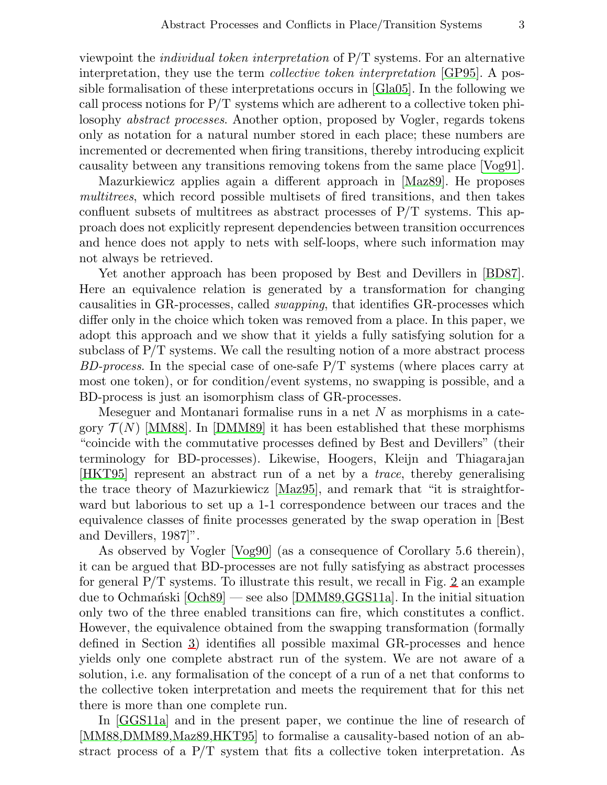viewpoint the individual token interpretation of P/T systems. For an alternative interpretation, they use the term *collective token interpretation* [\[GP95\]](#page-19-5). A possible formalisation of these interpretations occurs in [\[Gla05\]](#page-19-6). In the following we call process notions for P/T systems which are adherent to a collective token philosophy abstract processes. Another option, proposed by Vogler, regards tokens only as notation for a natural number stored in each place; these numbers are incremented or decremented when firing transitions, thereby introducing explicit causality between any transitions removing tokens from the same place [\[Vog91\]](#page-20-1).

Mazurkiewicz applies again a different approach in [\[Maz89\]](#page-19-7). He proposes multitrees, which record possible multisets of fired transitions, and then takes confluent subsets of multitrees as abstract processes of  $P/T$  systems. This approach does not explicitly represent dependencies between transition occurrences and hence does not apply to nets with self-loops, where such information may not always be retrieved.

Yet another approach has been proposed by Best and Devillers in [\[BD87\]](#page-18-0). Here an equivalence relation is generated by a transformation for changing causalities in GR-processes, called swapping, that identifies GR-processes which differ only in the choice which token was removed from a place. In this paper, we adopt this approach and we show that it yields a fully satisfying solution for a subclass of P/T systems. We call the resulting notion of a more abstract process BD-process. In the special case of one-safe  $P/T$  systems (where places carry at most one token), or for condition/event systems, no swapping is possible, and a BD-process is just an isomorphism class of GR-processes.

Meseguer and Montanari formalise runs in a net  $N$  as morphisms in a category  $\mathcal{T}(N)$  [\[MM88\]](#page-20-2). In [\[DMM89\]](#page-18-1) it has been established that these morphisms "coincide with the commutative processes defined by Best and Devillers" (their terminology for BD-processes). Likewise, Hoogers, Kleijn and Thiagarajan [\[HKT95\]](#page-19-4) represent an abstract run of a net by a trace, thereby generalising the trace theory of Mazurkiewicz [\[Maz95\]](#page-20-3), and remark that "it is straightforward but laborious to set up a 1-1 correspondence between our traces and the equivalence classes of finite processes generated by the swap operation in [Best and Devillers, 1987]".

As observed by Vogler [\[Vog90\]](#page-20-4) (as a consequence of Corollary 5.6 therein), it can be argued that BD-processes are not fully satisfying as abstract processes for general  $P/T$  systems. To illustrate this result, we recall in Fig.  $2$  an example due to Ochmanski  $[Och89]$  — see also  $[DMM89,GGS11a]$  $[DMM89,GGS11a]$ . In the initial situation only two of the three enabled transitions can fire, which constitutes a conflict. However, the equivalence obtained from the swapping transformation (formally defined in Section [3\)](#page-6-0) identifies all possible maximal GR-processes and hence yields only one complete abstract run of the system. We are not aware of a solution, i.e. any formalisation of the concept of a run of a net that conforms to the collective token interpretation and meets the requirement that for this net there is more than one complete run.

In [\[GGS11a\]](#page-19-8) and in the present paper, we continue the line of research of [\[MM88](#page-20-2)[,DMM89](#page-18-1)[,Maz89,](#page-19-7)[HKT95\]](#page-19-4) to formalise a causality-based notion of an abstract process of a P/T system that fits a collective token interpretation. As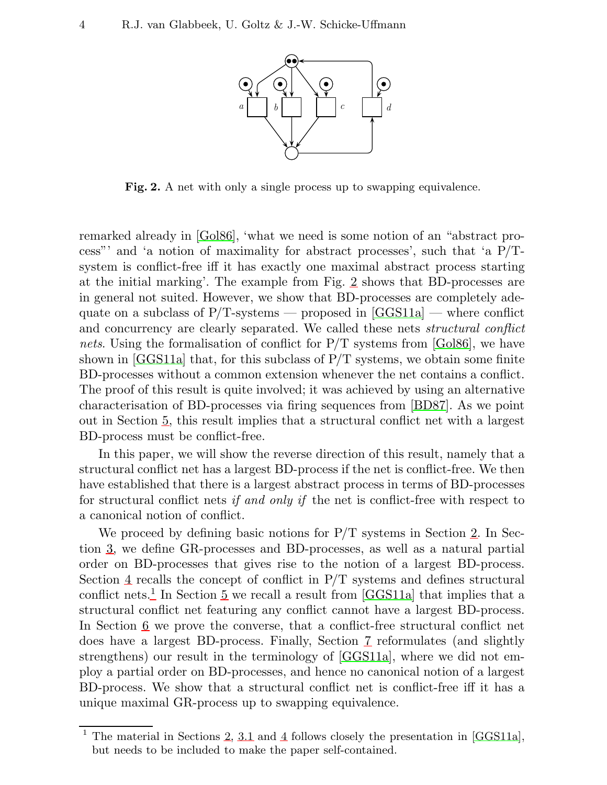

<span id="page-3-0"></span>Fig. 2. A net with only a single process up to swapping equivalence.

remarked already in [\[Gol86\]](#page-19-3), 'what we need is some notion of an "abstract process"' and 'a notion of maximality for abstract processes', such that 'a P/Tsystem is conflict-free iff it has exactly one maximal abstract process starting at the initial marking'. The example from Fig. [2](#page-3-0) shows that BD-processes are in general not suited. However, we show that BD-processes are completely adequate on a subclass of  $P/T$ -systems — proposed in  $[GGS11a]$  — where conflict and concurrency are clearly separated. We called these nets structural conflict nets. Using the formalisation of conflict for  $P/T$  systems from [\[Gol86\]](#page-19-3), we have shown in  $[GGS11a]$  that, for this subclass of  $P/T$  systems, we obtain some finite BD-processes without a common extension whenever the net contains a conflict. The proof of this result is quite involved; it was achieved by using an alternative characterisation of BD-processes via firing sequences from [\[BD87\]](#page-18-0). As we point out in Section [5,](#page-12-0) this result implies that a structural conflict net with a largest BD-process must be conflict-free.

In this paper, we will show the reverse direction of this result, namely that a structural conflict net has a largest BD-process if the net is conflict-free. We then have established that there is a largest abstract process in terms of BD-processes for structural conflict nets if and only if the net is conflict-free with respect to a canonical notion of conflict.

We proceed by defining basic notions for  $P/T$  systems in Section [2.](#page-4-0) In Section [3,](#page-6-0) we define GR-processes and BD-processes, as well as a natural partial order on BD-processes that gives rise to the notion of a largest BD-process. Section  $\leq$  recalls the concept of conflict in P/T systems and defines structural conflict nets.<sup>[1](#page-3-1)</sup> In Section  $5 \text{ we recall a result from } [GGS11a]$  $5 \text{ we recall a result from } [GGS11a]$  that implies that a structural conflict net featuring any conflict cannot have a largest BD-process. In Section  $6$  we prove the converse, that a conflict-free structural conflict net does have a largest BD-process. Finally, Section  $\mathcal I$  reformulates (and slightly strengthens) our result in the terminology of  $[GGS11a]$ , where we did not employ a partial order on BD-processes, and hence no canonical notion of a largest BD-process. We show that a structural conflict net is conflict-free iff it has a unique maximal GR-process up to swapping equivalence.

<span id="page-3-1"></span><sup>&</sup>lt;sup>1</sup> The material in Sections  $2, 3.1$  $2, 3.1$  and  $4$  follows closely the presentation in [\[GGS11a\]](#page-19-8), but needs to be included to make the paper self-contained.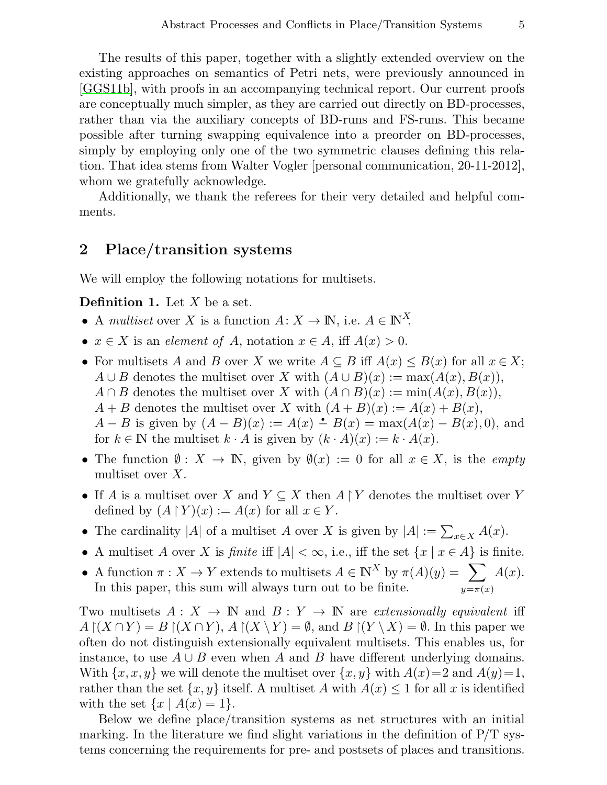The results of this paper, together with a slightly extended overview on the existing approaches on semantics of Petri nets, were previously announced in [\[GGS11b\]](#page-19-9), with proofs in an accompanying technical report. Our current proofs are conceptually much simpler, as they are carried out directly on BD-processes, rather than via the auxiliary concepts of BD-runs and FS-runs. This became possible after turning swapping equivalence into a preorder on BD-processes, simply by employing only one of the two symmetric clauses defining this relation. That idea stems from Walter Vogler [personal communication, 20-11-2012], whom we gratefully acknowledge.

Additionally, we thank the referees for their very detailed and helpful comments.

### <span id="page-4-0"></span>2 Place/transition systems

We will employ the following notations for multisets.

**Definition 1.** Let  $X$  be a set.

- A multiset over X is a function  $A: X \to \mathbb{N}$ , i.e.  $A \in \mathbb{N}^X$ .
- $x \in X$  is an element of A, notation  $x \in A$ , iff  $A(x) > 0$ .
- For multisets A and B over X we write  $A \subseteq B$  iff  $A(x) \leq B(x)$  for all  $x \in X$ ;  $A \cup B$  denotes the multiset over X with  $(A \cup B)(x) := max(A(x), B(x)),$  $A \cap B$  denotes the multiset over X with  $(A \cap B)(x) := min(A(x), B(x)),$  $A + B$  denotes the multiset over X with  $(A + B)(x) := A(x) + B(x)$ ,  $A - B$  is given by  $(A - B)(x) := A(x) - B(x) = \max(A(x) - B(x), 0)$ , and for  $k \in \mathbb{N}$  the multiset  $k \cdot A$  is given by  $(k \cdot A)(x) := k \cdot A(x)$ .
- The function  $\emptyset: X \to \mathbb{N}$ , given by  $\emptyset(x) := 0$  for all  $x \in X$ , is the *empty* multiset over X.
- If A is a multiset over X and  $Y \subseteq X$  then  $A \upharpoonright Y$  denotes the multiset over Y defined by  $(A \upharpoonright Y)(x) := A(x)$  for all  $x \in Y$ .
- The cardinality |A| of a multiset A over X is given by  $|A| := \sum_{x \in X} A(x)$ .
- A multiset A over X is *finite* iff  $|A| < \infty$ , i.e., iff the set  $\{x \mid x \in A\}$  is finite.
- A function  $\pi: X \to Y$  extends to multisets  $A \in \mathbb{N}^X$  by  $\pi(A)(y) = \sum$  $y=\pi(x)$  $A(x).$ In this paper, this sum will always turn out to be finite.

Two multisets  $A: X \to \mathbb{N}$  and  $B: Y \to \mathbb{N}$  are extensionally equivalent iff  $A \upharpoonright (X \cap Y) = B \upharpoonright (X \cap Y), A \upharpoonright (X \setminus Y) = \emptyset$ , and  $B \upharpoonright (Y \setminus X) = \emptyset$ . In this paper we often do not distinguish extensionally equivalent multisets. This enables us, for instance, to use  $A \cup B$  even when A and B have different underlying domains. With  $\{x, x, y\}$  we will denote the multiset over  $\{x, y\}$  with  $A(x)=2$  and  $A(y)=1$ , rather than the set  $\{x, y\}$  itself. A multiset A with  $A(x) \leq 1$  for all x is identified with the set  $\{x \mid A(x) = 1\}.$ 

Below we define place/transition systems as net structures with an initial marking. In the literature we find slight variations in the definition of P/T systems concerning the requirements for pre- and postsets of places and transitions.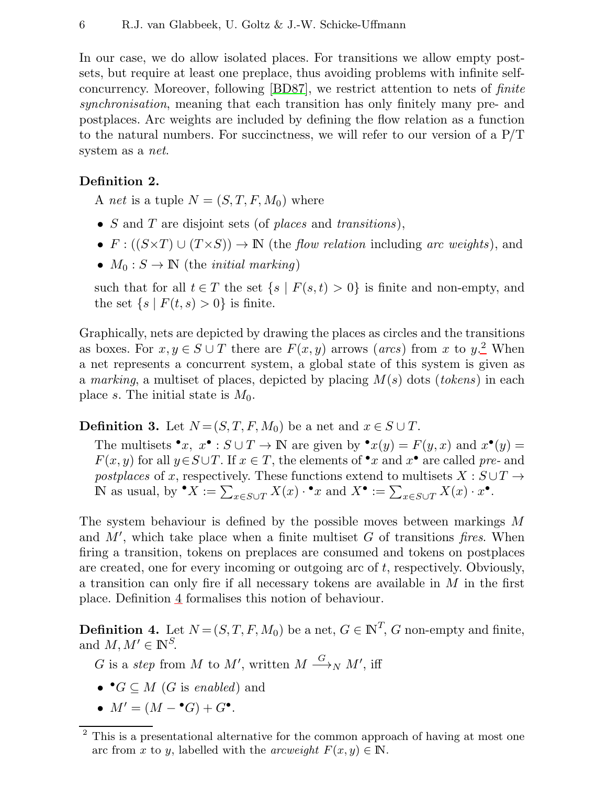In our case, we do allow isolated places. For transitions we allow empty postsets, but require at least one preplace, thus avoiding problems with infinite selfconcurrency. Moreover, following [\[BD87\]](#page-18-0), we restrict attention to nets of finite synchronisation, meaning that each transition has only finitely many pre- and postplaces. Arc weights are included by defining the flow relation as a function to the natural numbers. For succinctness, we will refer to our version of a P/T system as a *net*.

### Definition 2.

A net is a tuple  $N = (S, T, F, M_0)$  where

- S and T are disjoint sets (of places and transitions),
- $F: ((S \times T) \cup (T \times S)) \rightarrow \mathbb{N}$  (the *flow relation* including arc weights), and
- $M_0: S \to \mathbb{N}$  (the *initial marking*)

such that for all  $t \in T$  the set  $\{s \mid F(s,t) > 0\}$  is finite and non-empty, and the set  $\{s \mid F(t, s) > 0\}$  is finite.

Graphically, nets are depicted by drawing the places as circles and the transitions as boxes. For  $x, y \in S \cup T$  there are  $F(x, y)$  arrows (*arcs*) from x to  $y \stackrel{?}{\sim}$  When a net represents a concurrent system, a global state of this system is given as a marking, a multiset of places, depicted by placing  $M(s)$  dots (tokens) in each place s. The initial state is  $M_0$ .

**Definition 3.** Let  $N = (S, T, F, M_0)$  be a net and  $x \in S \cup T$ .

The multisets  $\bullet x, x \bullet : S \cup T \to \mathbb{N}$  are given by  $\bullet x(y) = F(y, x)$  and  $x \bullet (y) =$  $F(x, y)$  for all  $y \in S \cup T$ . If  $x \in T$ , the elements of  $\bullet x$  and  $x^{\bullet}$  are called pre- and postplaces of x, respectively. These functions extend to multisets  $X : S \cup T \rightarrow$ IN as usual, by  $\bullet X := \sum_{x \in S \cup T} X(x) \cdot \bullet x$  and  $X \bullet := \sum_{x \in S \cup T} X(x) \cdot x \bullet$ .

The system behaviour is defined by the possible moves between markings M and  $M'$ , which take place when a finite multiset  $G$  of transitions fires. When firing a transition, tokens on preplaces are consumed and tokens on postplaces are created, one for every incoming or outgoing arc of  $t$ , respectively. Obviously, a transition can only fire if all necessary tokens are available in M in the first place. Definition  $\underline{4}$  formalises this notion of behaviour.

<span id="page-5-1"></span>**Definition 4.** Let  $N = (S, T, F, M_0)$  be a net,  $G \in \mathbb{N}^T$ , G non-empty and finite, and  $M, M' \in \mathbb{N}^S$ .

G is a step from M to M', written  $M \stackrel{G}{\longrightarrow}_N M'$ , iff

- $\bullet$   $\bullet$   $G \subseteq M$  (G is enabled) and
- $M' = (M \bullet G) + G\bullet$ .

<span id="page-5-0"></span><sup>&</sup>lt;sup>2</sup> This is a presentational alternative for the common approach of having at most one arc from x to y, labelled with the arcweight  $F(x, y) \in \mathbb{N}$ .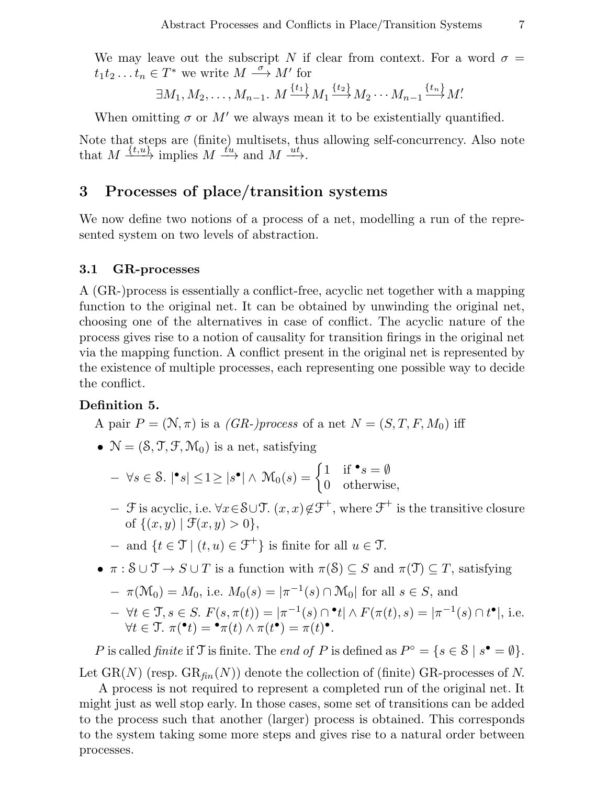We may leave out the subscript N if clear from context. For a word  $\sigma =$  $t_1t_2...t_n\in T^*$  we write  $M\stackrel{\sigma}{\longrightarrow} M'$  for

$$
\exists M_1, M_2, \dots, M_{n-1}. M \stackrel{\{t_1\}}{\longrightarrow} M_1 \stackrel{\{t_2\}}{\longrightarrow} M_2 \cdots M_{n-1} \stackrel{\{t_n\}}{\longrightarrow} M'.
$$

When omitting  $\sigma$  or M' we always mean it to be existentially quantified.

Note that steps are (finite) multisets, thus allowing self-concurrency. Also note that  $M \xrightarrow{\{t,u\}}$  implies  $M \xrightarrow{fu}$  and  $M \xrightarrow{u^t}$ .

### <span id="page-6-0"></span>3 Processes of place/transition systems

We now define two notions of a process of a net, modelling a run of the represented system on two levels of abstraction.

#### <span id="page-6-1"></span>3.1 GR-processes

A (GR-)process is essentially a conflict-free, acyclic net together with a mapping function to the original net. It can be obtained by unwinding the original net, choosing one of the alternatives in case of conflict. The acyclic nature of the process gives rise to a notion of causality for transition firings in the original net via the mapping function. A conflict present in the original net is represented by the existence of multiple processes, each representing one possible way to decide the conflict.

#### <span id="page-6-2"></span>Definition 5.

A pair  $P = (\mathcal{N}, \pi)$  is a *(GR-)process* of a net  $N = (S, T, F, M_0)$  iff

•  $\mathcal{N} = (\mathcal{S}, \mathcal{T}, \mathcal{F}, \mathcal{M}_0)$  is a net, satisfying

$$
- \ \forall s \in \mathcal{S}. \ |\mathbf{e}_s| \leq 1 \geq |s^{\bullet}| \land \mathcal{M}_0(s) = \begin{cases} 1 & \text{if } \mathbf{e}_s = \emptyset \\ 0 & \text{otherwise,} \end{cases}
$$

- $\mathcal F$  is acyclic, i.e.  $\forall x \in \mathcal S \cup \mathcal T$ .  $(x, x) \notin \mathcal F^+$ , where  $\mathcal F^+$  is the transitive closure of  $\{(x, y) | \mathcal{F}(x, y) > 0\},\$
- $-$  and  $\{t \in \mathcal{T} \mid (t, u) \in \mathcal{F}^+\}$  is finite for all  $u \in \mathcal{T}$ .
- $\pi : \mathcal{S} \cup \mathcal{T} \rightarrow S \cup T$  is a function with  $\pi(\mathcal{S}) \subseteq S$  and  $\pi(\mathcal{T}) \subseteq T$ , satisfying

- 
$$
\pi(\mathcal{M}_0) = M_0
$$
, i.e.  $M_0(s) = |\pi^{-1}(s) \cap \mathcal{M}_0|$  for all  $s \in S$ , and

 $- \forall t \in \mathcal{T}, s \in S$ .  $F(s, \pi(t)) = |\pi^{-1}(s) \cap \cdot^{\bullet} t| \land F(\pi(t), s) = |\pi^{-1}(s) \cap t^{\bullet}|$ , i.e.  $\forall t \in \mathcal{T}$ .  $\pi(\bullet t) = \bullet \pi(t) \land \pi(t^{\bullet}) = \pi(t)^{\bullet}$ .

P is called finite if T is finite. The end of P is defined as  $P^{\circ} = \{s \in \mathcal{S} \mid s^{\bullet} = \emptyset\}.$ Let  $\text{GR}(N)$  (resp.  $\text{GR}_{fin}(N)$ ) denote the collection of (finite) GR-processes of N.

<span id="page-6-3"></span>A process is not required to represent a completed run of the original net. It might just as well stop early. In those cases, some set of transitions can be added to the process such that another (larger) process is obtained. This corresponds to the system taking some more steps and gives rise to a natural order between processes.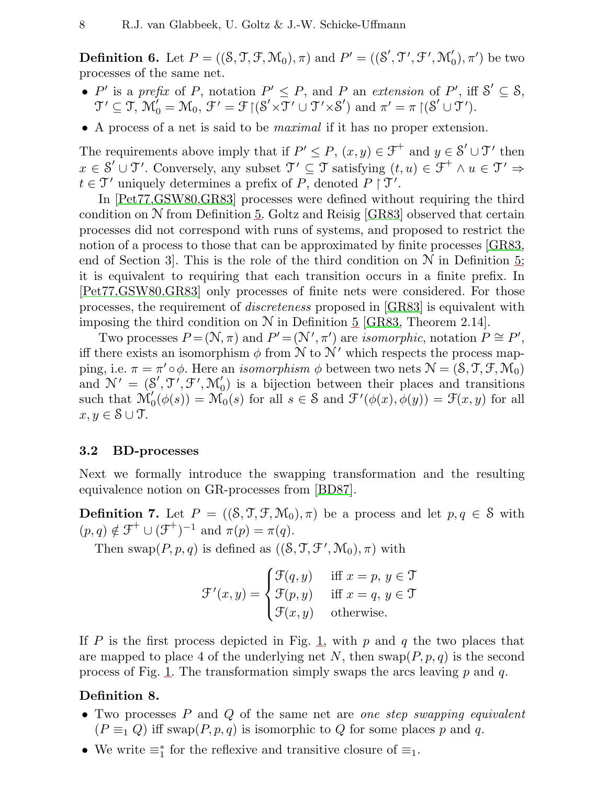**Definition 6.** Let  $P = ((\mathcal{S}, \mathcal{T}, \mathcal{F}, \mathcal{M}_0), \pi)$  and  $P' = ((\mathcal{S}', \mathcal{T}', \mathcal{F}', \mathcal{M}'_0), \pi')$  be two processes of the same net.

- P' is a prefix of P, notation  $P' \leq P$ , and P an extension of P', iff  $S' \subseteq S$ ,  $\mathfrak{T}' \subseteq \mathfrak{T}, \mathfrak{M}'_0 = \mathfrak{M}_0, \, \mathfrak{F}' = \mathfrak{F} \mathbin{\restriction} (\mathcal{S}' \times \mathcal{T}' \cup \mathfrak{T}' \times \mathcal{S}') \text{ and } \pi' = \pi \mathbin{\restriction} (\mathcal{S}' \cup \mathcal{T}') .$
- A process of a net is said to be maximal if it has no proper extension.

The requirements above imply that if  $P' \leq P$ ,  $(x, y) \in \mathcal{F}^+$  and  $y \in \mathcal{S}' \cup \mathcal{T}'$  then  $x \in S' \cup T'$ . Conversely, any subset  $T' \subseteq T$  satisfying  $(t, u) \in T' \wedge u \in T' \Rightarrow$  $t \in \mathcal{T}'$  uniquely determines a prefix of P, denoted  $P \upharpoonright \mathcal{T}'$ .

In [\[Pet77,](#page-20-0)[GSW80](#page-19-0)[,GR83\]](#page-19-1) processes were defined without requiring the third condition on  $N$  from Definition [5.](#page-6-2) Goltz and Reisig  $[GR83]$  observed that certain processes did not correspond with runs of systems, and proposed to restrict the notion of a process to those that can be approximated by finite processes [\[GR83,](#page-19-1) end of Section 3. This is the role of the third condition on  $N$  in Definition  $5$ ; it is equivalent to requiring that each transition occurs in a finite prefix. In [\[Pet77,](#page-20-0)[GSW80,](#page-19-0)[GR83\]](#page-19-1) only processes of finite nets were considered. For those processes, the requirement of discreteness proposed in [\[GR83\]](#page-19-1) is equivalent with imposing the third condition on  $N$  in Definition  $5$  [\[GR83,](#page-19-1) Theorem 2.14].

Two processes  $P = (\mathcal{N}, \pi)$  and  $P' = (\mathcal{N}', \pi')$  are *isomorphic*, notation  $P \cong P'$ , iff there exists an isomorphism  $\phi$  from N to N' which respects the process mapping, i.e.  $\pi = \pi' \circ \phi$ . Here an *isomorphism*  $\phi$  between two nets  $\mathcal{N} = (S, \mathcal{T}, \mathcal{F}, \mathcal{M}_0)$ and  $\mathcal{N}' = (\mathcal{S}', \mathcal{T}', \mathcal{F}', \mathcal{M}'_0)$  is a bijection between their places and transitions such that  $\mathcal{M}'_0(\phi(s)) = \mathcal{M}_0(s)$  for all  $s \in \mathcal{S}$  and  $\mathcal{F}'(\phi(x), \phi(y)) = \mathcal{F}(x, y)$  for all  $x, y \in \mathcal{S} \cup \mathcal{T}$ .

#### 3.2 BD-processes

Next we formally introduce the swapping transformation and the resulting equivalence notion on GR-processes from [\[BD87\]](#page-18-0).

**Definition 7.** Let  $P = ((\mathcal{S}, \mathcal{T}, \mathcal{F}, \mathcal{M}_0), \pi)$  be a process and let  $p, q \in \mathcal{S}$  with  $(p,q) \notin \mathcal{F}^+ \cup (\mathcal{F}^+)^{-1}$  and  $\pi(p) = \pi(q)$ .

Then swap $(P, p, q)$  is defined as  $((\mathcal{S}, \mathcal{T}, \mathcal{F}', \mathcal{M}_0), \pi)$  with

$$
\mathcal{F}'(x,y) = \begin{cases} \mathcal{F}(q,y) & \text{iff } x = p, y \in \mathcal{T} \\ \mathcal{F}(p,y) & \text{iff } x = q, y \in \mathcal{T} \\ \mathcal{F}(x,y) & \text{otherwise.} \end{cases}
$$

If P is the first process depicted in Fig. [1,](#page-1-0) with p and q the two places that are mapped to place 4 of the underlying net N, then  $\text{swap}(P, p, q)$  is the second process of Fig. [1.](#page-1-0) The transformation simply swaps the arcs leaving  $p$  and  $q$ .

#### <span id="page-7-0"></span>Definition 8.

- Two processes  $P$  and  $Q$  of the same net are one step swapping equivalent  $(P \equiv_1 Q)$  iff swap $(P, p, q)$  is isomorphic to Q for some places p and q.
- We write  $\equiv_1^*$  for the reflexive and transitive closure of  $\equiv_1$ .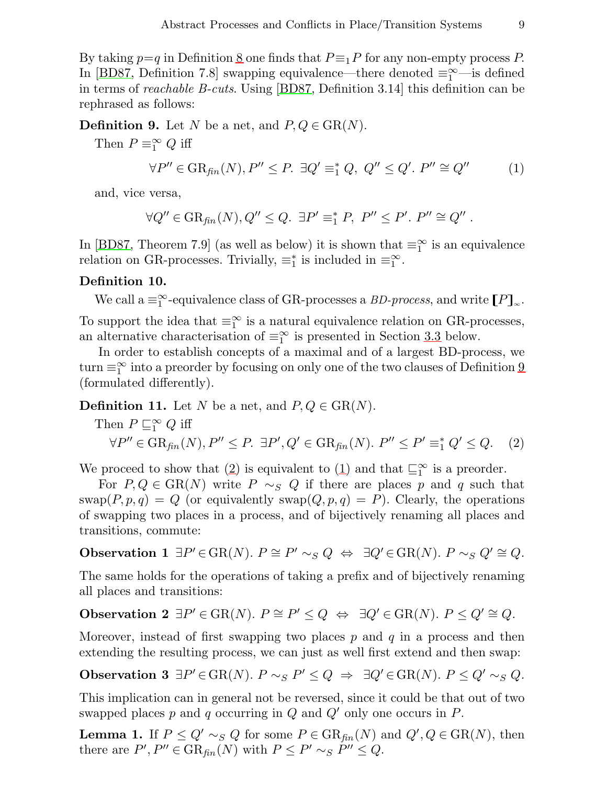By taking  $p=q$  in Definition [8](#page-7-0) one finds that  $P \equiv_1 P$  for any non-empty process P. In [\[BD87,](#page-18-0) Definition 7.8] swapping equivalence—there denoted  $\equiv_1^\infty$ —is defined in terms of reachable B-cuts. Using [\[BD87,](#page-18-0) Definition 3.14] this definition can be rephrased as follows:

**Definition 9.** Let N be a net, and  $P, Q \in \text{GR}(N)$ .

Then  $P \equiv_1^{\infty} Q$  iff

<span id="page-8-2"></span><span id="page-8-0"></span>
$$
\forall P'' \in \text{GR}_{fin}(N), P'' \leq P. \exists Q' \equiv_1^* Q, \ Q'' \leq Q'. P'' \cong Q'' \tag{1}
$$

and, vice versa,

$$
\forall Q'' \in \text{GR}_{fin}(N), Q'' \leq Q. \exists P' \equiv_1^* P, P'' \leq P'. P'' \cong Q''.
$$

In [\[BD87,](#page-18-0) Theorem 7.9] (as well as below) it is shown that  $\equiv_1^\infty$  is an equivalence relation on GR-processes. Trivially,  $\equiv_1^*$  is included in  $\equiv_1^\infty$ .

### Definition 10.

We call a  $\equiv_1^\infty$ -equivalence class of GR-processes a *BD-process*, and write  $[P]_\infty$ .

To support the idea that  $\equiv_1^\infty$  is a natural equivalence relation on GR-processes, an alternative characterisation of  $\equiv_1^\infty$  is presented in Section [3.3](#page-9-0) below.

In order to establish concepts of a maximal and of a largest BD-process, we turn  $\equiv_1^\infty$  into a preorder by focusing on only one of the two clauses of Definition  $9$ (formulated differently).

<span id="page-8-6"></span>**Definition 11.** Let N be a net, and  $P, Q \in \text{GR}(N)$ .

<span id="page-8-1"></span>Then 
$$
P \sqsubseteq_1^{\infty} Q
$$
 iff  
\n $\forall P'' \in \text{GR}_{fin}(N), P'' \leq P$ .  $\exists P', Q' \in \text{GR}_{fin}(N)$ .  $P'' \leq P' \equiv_1^* Q' \leq Q$ . (2)

We proceed to show that  $(2)$  is equivalent to  $(1)$  and that  $\sqsubseteq_1^{\infty}$  is a preorder.

For  $P, Q \in \text{GR}(N)$  write  $P \sim_S Q$  if there are places p and q such that  $swap(P, p, q) = Q$  (or equivalently  $swap(Q, p, q) = P$ ). Clearly, the operations of swapping two places in a process, and of bijectively renaming all places and transitions, commute:

Observation 1  $\exists P' \in \text{GR}(N)$ .  $P \cong P' \sim_S Q \Leftrightarrow \exists Q' \in \text{GR}(N)$ .  $P \sim_S Q' \cong Q$ .

The same holds for the operations of taking a prefix and of bijectively renaming all places and transitions:

# <span id="page-8-3"></span>Observation 2  $\exists P' \in \text{GR}(N)$ .  $P \cong P' \leq Q \Leftrightarrow \exists Q' \in \text{GR}(N)$ .  $P \leq Q' \cong Q$ .

<span id="page-8-4"></span>Moreover, instead of first swapping two places  $p$  and  $q$  in a process and then extending the resulting process, we can just as well first extend and then swap:

Observation 3  $\exists P' \in \text{GR}(N)$ .  $P \sim_S P' \leq Q \Rightarrow \exists Q' \in \text{GR}(N)$ .  $P \leq Q' \sim_S Q$ .

<span id="page-8-5"></span>This implication can in general not be reversed, since it could be that out of two swapped places  $p$  and  $q$  occurring in  $Q$  and  $Q'$  only one occurs in  $P$ .

**Lemma 1.** If  $P \leq Q' \sim_S Q$  for some  $P \in \text{GR}_{fin}(N)$  and  $Q', Q \in \text{GR}(N)$ , then there are  $P', P'' \in \text{GR}_{fin}(N)$  with  $P \leq P' \sim_S P'' \leq Q$ .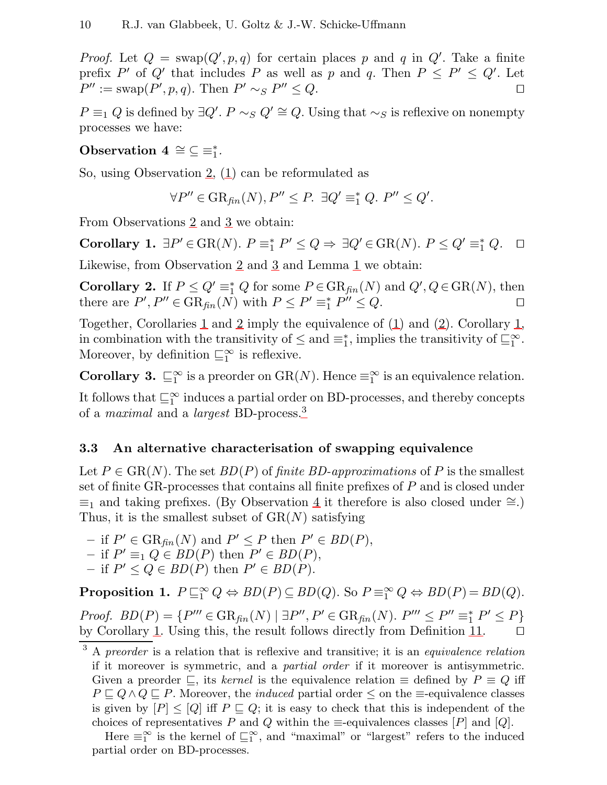*Proof.* Let  $Q = \text{swap}(Q', p, q)$  for certain places p and q in  $Q'$ . Take a finite prefix P' of Q' that includes P as well as p and q. Then  $P \leq P' \leq Q'$ . Let  $P' := \text{swap}(P', p, q)$ . Then  $P' \sim_S P'' \le Q$ .  $\Box$ 

 $P \equiv_1 Q$  is defined by  $\exists Q'$ .  $P \sim_S Q' \cong Q$ . Using that  $\sim_S$  is reflexive on nonempty processes we have:

# Observation  $4 \cong \subseteq \equiv_1^*$ .

So, using Observation  $2$ ,  $(1)$  can be reformulated as

<span id="page-9-4"></span><span id="page-9-2"></span><span id="page-9-1"></span>
$$
\forall P'' \in \text{GR}_{fin}(N), P'' \leq P. \exists Q' \equiv_1^* Q. P'' \leq Q'.
$$

From Observations [2](#page-8-3) and [3](#page-8-4) we obtain:

Corollary 1.  $\exists P' \in \text{GR}(N)$ .  $P \equiv_1^* P' \leq Q \Rightarrow \exists Q' \in \text{GR}(N)$ .  $P \leq Q' \equiv_1^* Q$ .  $\Box$ 

Likewise, from Observation  $2$  and  $3$  and Lemma  $1$  we obtain:

**Corollary 2.** If  $P \leq Q' \equiv_1^* Q$  for some  $P \in \text{GR}_{fin}(N)$  and  $Q', Q \in \text{GR}(N)$ , then there are  $P', P'' \in \text{GR}_{fin}(N)$  with  $P \le P' \equiv_1^* P'' \le Q$ .

Together, Corollaries  $1$  and  $2$  imply the equivalence of  $(1)$  and  $(2)$ . Corollary  $1$ , in combination with the transitivity of  $\leq$  and  $\equiv_1^*$ , implies the transitivity of  $\sqsubseteq_1^{\infty}$ . Moreover, by definition  $\sqsubseteq^{\infty}_1$  is reflexive.

**Corollary 3.**  $\sqsubseteq^{\infty}_1$  is a preorder on  $\text{GR}(N)$ . Hence  $\equiv^{\infty}_1$  is an equivalence relation.

It follows that  $\sqsubseteq^{\infty}_1$  induces a partial order on BD-processes, and thereby concepts of a *maximal* and a *largest* BD-process.<sup>[3](#page-9-3)</sup>

### <span id="page-9-0"></span>3.3 An alternative characterisation of swapping equivalence

Let  $P \in \text{GR}(N)$ . The set  $BD(P)$  of finite BD-approximations of P is the smallest set of finite GR-processes that contains all finite prefixes of P and is closed under  $\equiv_1$  and taking prefixes. (By Observation <u>4</u> it therefore is also closed under  $\cong$ .) Thus, it is the smallest subset of  $\text{GR}(N)$  satisfying

- if  $P' \in \text{GR}_{fin}(N)$  and  $P' \leq P$  then  $P' \in BD(P)$ ,
- − if  $P' \equiv_1 Q \in BD(P)$  then  $P' \in BD(P)$ ,
- − if  $P' \le Q \in BD(P)$  then  $P' \in BD(P)$ .

**Proposition 1.**  $P \sqsubseteq^{\infty}_1 Q \Leftrightarrow BD(P) \subseteq BD(Q)$ . So  $P \equiv^{\infty}_1 Q \Leftrightarrow BD(P) = BD(Q)$ .

*Proof.*  $BD(P) = \{P''' \in \text{GR}_{fin}(N) \mid \exists P'', P' \in \text{GR}_{fin}(N)$ .  $P''' \le P'' \equiv_1^* P' \le P\}$ by Corollary [1.](#page-9-1) Using this, the result follows directly from Definition [11.](#page-8-6) □

<span id="page-9-3"></span> $3 A$  preorder is a relation that is reflexive and transitive; it is an equivalence relation if it moreover is symmetric, and a partial order if it moreover is antisymmetric. Given a preorder  $\subseteq$ , its kernel is the equivalence relation  $\equiv$  defined by  $P \equiv Q$  iff  $P \sqsubset Q \wedge Q \sqsubset P$ . Moreover, the *induced* partial order  $\leq$  on the  $\equiv$ -equivalence classes is given by  $[P] \leq [Q]$  iff  $P \sqsubseteq Q$ ; it is easy to check that this is independent of the choices of representatives P and Q within the  $\equiv$ -equivalences classes [P] and [Q].

Here  $\equiv_1^{\infty}$  is the kernel of  $\sqsubseteq_1^{\infty}$ , and "maximal" or "largest" refers to the induced partial order on BD-processes.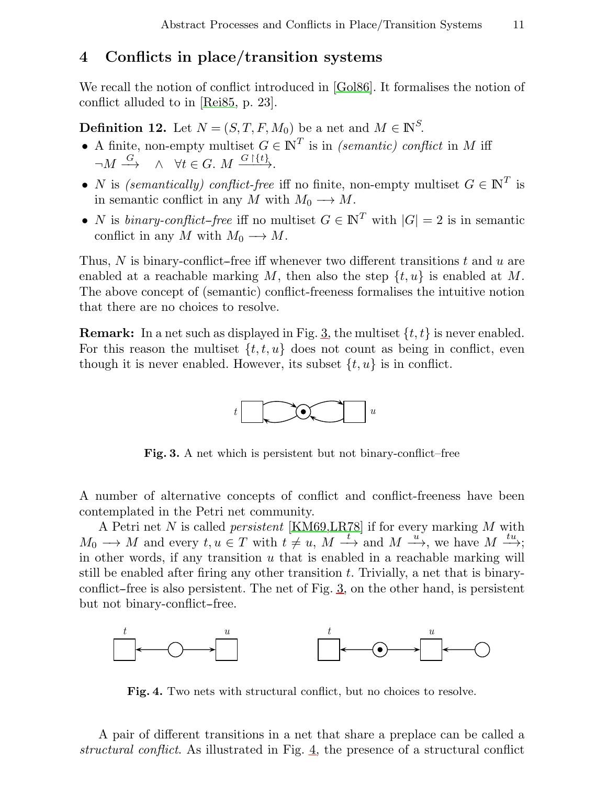### <span id="page-10-0"></span>4 Conflicts in place/transition systems

We recall the notion of conflict introduced in [\[Gol86\]](#page-19-3). It formalises the notion of conflict alluded to in [\[Rei85,](#page-20-6) p. 23].

**Definition 12.** Let  $N = (S, T, F, M_0)$  be a net and  $M \in \mathbb{N}^S$ .

- A finite, non-empty multiset  $G \in \mathbb{N}^T$  is in *(semantic) conflict* in M iff  $\neg M \stackrel{G}{\longrightarrow} \wedge \forall t \in G. M \stackrel{G \upharpoonright \{t\}}{\longrightarrow}.$
- N is (semantically) conflict-free iff no finite, non-empty multiset  $G \in \mathbb{N}^T$  is in semantic conflict in any M with  $M_0 \longrightarrow M$ .
- N is binary-conflict-free iff no multiset  $G \in \mathbb{N}^T$  with  $|G| = 2$  is in semantic conflict in any M with  $M_0 \longrightarrow M$ .

Thus,  $N$  is binary-conflict-free iff whenever two different transitions  $t$  and  $u$  are enabled at a reachable marking M, then also the step  $\{t, u\}$  is enabled at M. The above concept of (semantic) conflict-freeness formalises the intuitive notion that there are no choices to resolve.

**Remark:** In a net such as displayed in Fig. [3,](#page-10-1) the multiset  $\{t, t\}$  is never enabled. For this reason the multiset  $\{t, t, u\}$  does not count as being in conflict, even though it is never enabled. However, its subset  $\{t, u\}$  is in conflict.



<span id="page-10-1"></span>Fig. 3. A net which is persistent but not binary-conflict–free

A number of alternative concepts of conflict and conflict-freeness have been contemplated in the Petri net community.

A Petri net N is called persistent [\[KM69](#page-19-10)[,LR78\]](#page-19-11) if for every marking M with  $M_0 \longrightarrow M$  and every  $t, u \in T$  with  $t \neq u, M \stackrel{t}{\longrightarrow}$  and  $M \stackrel{u}{\longrightarrow}$ , we have  $M \stackrel{tu}{\longrightarrow}$ ; in other words, if any transition  $u$  that is enabled in a reachable marking will still be enabled after firing any other transition  $t$ . Trivially, a net that is binaryconflict-free is also persistent. The net of Fig.  $3$ , on the other hand, is persistent but not binary-conflict-free.



<span id="page-10-2"></span>Fig. 4. Two nets with structural conflict, but no choices to resolve.

A pair of different transitions in a net that share a preplace can be called a structural conflict. As illustrated in Fig.  $\underline{4}$ , the presence of a structural conflict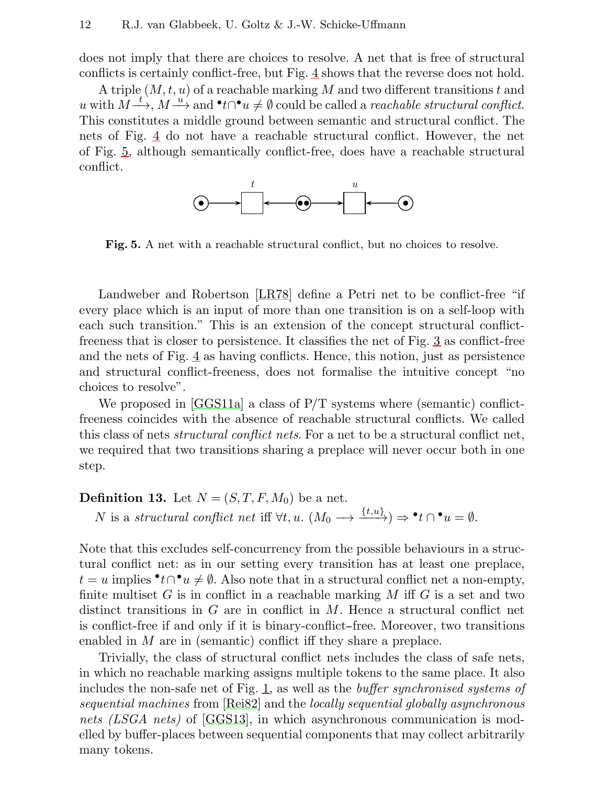does not imply that there are choices to resolve. A net that is free of structural conflicts is certainly conflict-free, but Fig.  $\underline{4}$  shows that the reverse does not hold.

A triple  $(M, t, u)$  of a reachable marking M and two different transitions t and u with  $M \longrightarrow N$  and  $\bullet t \cap \bullet u \neq \emptyset$  could be called a *reachable structural conflict*. This constitutes a middle ground between semantic and structural conflict. The nets of Fig. [4](#page-10-2) do not have a reachable structural conflict. However, the net of Fig. [5,](#page-11-0) although semantically conflict-free, does have a reachable structural conflict.



<span id="page-11-0"></span>Fig. 5. A net with a reachable structural conflict, but no choices to resolve.

Landweber and Robertson [\[LR78\]](#page-19-11) define a Petri net to be conflict-free "if every place which is an input of more than one transition is on a self-loop with each such transition." This is an extension of the concept structural conflictfreeness that is closer to persistence. It classifies the net of Fig. [3](#page-10-1) as conflict-free and the nets of Fig.  $4$  as having conflicts. Hence, this notion, just as persistence and structural conflict-freeness, does not formalise the intuitive concept "no choices to resolve".

We proposed in [\[GGS11a\]](#page-19-8) a class of P/T systems where (semantic) conflictfreeness coincides with the absence of reachable structural conflicts. We called this class of nets structural conflict nets. For a net to be a structural conflict net, we required that two transitions sharing a preplace will never occur both in one step.

**Definition 13.** Let  $N = (S, T, F, M_0)$  be a net. N is a structural conflict net iff  $\forall t, u$ .  $(M_0 \longrightarrow \frac{\{t, u\}}{\{t, u\}}) \Rightarrow \mathbf{e}_t \cap \mathbf{e}_u = \emptyset$ .

Note that this excludes self-concurrency from the possible behaviours in a structural conflict net: as in our setting every transition has at least one preplace,  $t = u$  implies  $\bullet t \cap \bullet u \neq \emptyset$ . Also note that in a structural conflict net a non-empty, finite multiset  $G$  is in conflict in a reachable marking  $M$  iff  $G$  is a set and two distinct transitions in G are in conflict in M. Hence a structural conflict net is conflict-free if and only if it is binary-conflict-free. Moreover, two transitions enabled in M are in (semantic) conflict iff they share a preplace.

Trivially, the class of structural conflict nets includes the class of safe nets, in which no reachable marking assigns multiple tokens to the same place. It also includes the non-safe net of Fig.  $\underline{1}$ , as well as the *buffer synchronised systems of* sequential machines from  $\text{Rei82}$  and the locally sequential globally asynchronous nets (LSGA nets) of **GGS13**, in which asynchronous communication is modelled by buffer-places between sequential components that may collect arbitrarily many tokens.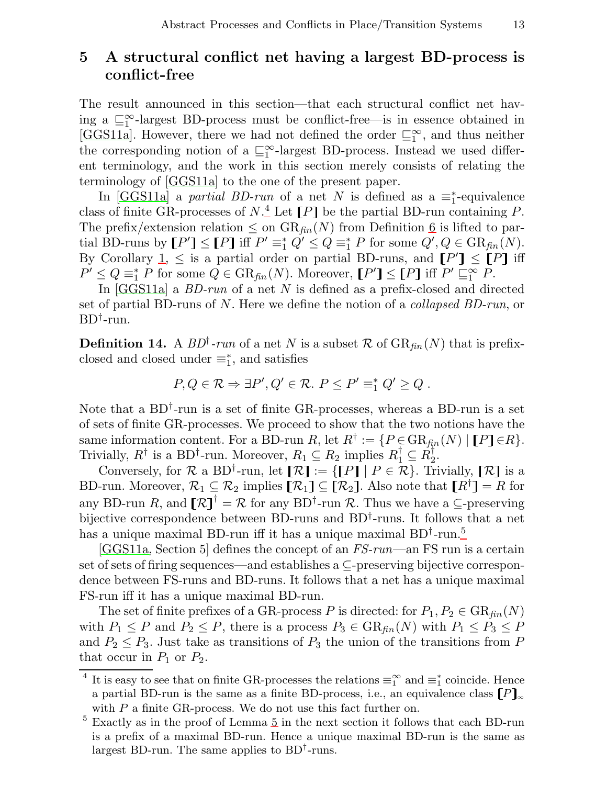## <span id="page-12-0"></span>5 A structural conflict net having a largest BD-process is conflict-free

The result announced in this section—that each structural conflict net having a ⊑<sup>∞</sup> 1 -largest BD-process must be conflict-free—is in essence obtained in [\[GGS11a\]](#page-19-8). However, there we had not defined the order  $\sqsubseteq^{\infty}_1$ , and thus neither the corresponding notion of a  $\sqsubseteq^{\infty}_1$ -largest BD-process. Instead we used different terminology, and the work in this section merely consists of relating the terminology of [\[GGS11a\]](#page-19-8) to the one of the present paper.

In [\[GGS11a\]](#page-19-8) a partial BD-run of a net N is defined as a  $\equiv_1^*$ -equivalence class of finite GR-processes of  $N_{\text{-}}^4$  $N_{\text{-}}^4$  Let  $[P]$  be the partial BD-run containing P. The prefix/extension relation  $\leq$  on  $\text{GR}_{fin}(N)$  from Definition [6](#page-6-3) is lifted to partial BD-runs by  $[P'] \leq [P]$  iff  $P' \equiv_1^* Q' \leq Q \equiv_1^* P$  for some  $Q', Q \in \text{GR}_{fin}(N)$ . By Corollary  $1, \leq$  is a partial order on partial BD-runs, and  $[P'] \leq [P]$  iff  $P' \le Q \equiv_1^* P$  for some  $Q \in \text{GR}_{fin}(N)$ . Moreover,  $[P'] \le [P]$  iff  $P' \sqsubseteq_1^{\infty} P$ .

In  $[GGS11a]$  a BD-run of a net N is defined as a prefix-closed and directed set of partial BD-runs of N. Here we define the notion of a *collapsed BD-run*, or BD† -run.

**Definition 14.** A  $BD^{\dagger}$ -run of a net N is a subset R of  $\text{GR}_{fin}(N)$  that is prefixclosed and closed under  $\equiv_1^*$ , and satisfies

$$
P, Q \in \mathcal{R} \Rightarrow \exists P', Q' \in \mathcal{R}. \ P \le P' \equiv_1^* Q' \ge Q .
$$

Note that a BD† -run is a set of finite GR-processes, whereas a BD-run is a set of sets of finite GR-processes. We proceed to show that the two notions have the same information content. For a BD-run R, let  $R^{\dagger} := \{ P \in \text{GR}_{fin}(N) \mid [P] \in R \}.$ Trivially,  $R^{\dagger}$  is a BD<sup>†</sup>-run. Moreover,  $R_1 \subseteq R_2$  implies  $R_1^{\dagger} \subseteq R_2^{\dagger}$  $\frac{1}{2}$ .

Conversely, for  $\mathcal R$  a BD<sup>†</sup>-run, let  $[\mathcal R] := \{ [P] \mid P \in \mathcal R \}$ . Trivially,  $[\mathcal R]$  is a BD-run. Moreover,  $\mathcal{R}_1 \subseteq \mathcal{R}_2$  implies  $[\mathcal{R}_1] \subseteq [\mathcal{R}_2]$ . Also note that  $[R^{\dagger}] = R$  for any BD-run R, and  $[\mathcal{R}]^{\dagger} = \mathcal{R}$  for any BD<sup>†</sup>-run R. Thus we have a  $\subseteq$ -preserving bijective correspondence between BD-runs and BD† -runs. It follows that a net has a unique maximal BD-run iff it has a unique maximal BD<sup>†</sup>-run.<sup>[5](#page-12-2)</sup>

[\[GGS11a,](#page-19-8) Section 5] defines the concept of an FS-run—an FS run is a certain set of sets of firing sequences—and establishes a ⊆-preserving bijective correspondence between FS-runs and BD-runs. It follows that a net has a unique maximal FS-run iff it has a unique maximal BD-run.

The set of finite prefixes of a GR-process P is directed: for  $P_1, P_2 \in \text{GR}_{fin}(N)$ with  $P_1 \leq P$  and  $P_2 \leq P$ , there is a process  $P_3 \in \text{GR}_{fin}(N)$  with  $P_1 \leq P_3 \leq P$ and  $P_2 \leq P_3$ . Just take as transitions of  $P_3$  the union of the transitions from P that occur in  $P_1$  or  $P_2$ .

<span id="page-12-3"></span><span id="page-12-1"></span><sup>&</sup>lt;sup>4</sup> It is easy to see that on finite GR-processes the relations  $\equiv_1^\infty$  and  $\equiv_1^*$  coincide. Hence a partial BD-run is the same as a finite BD-process, i.e., an equivalence class  $[P]_{\infty}$ with  $P$  a finite GR-process. We do not use this fact further on.

<span id="page-12-2"></span> $5$  Exactly as in the proof of Lemma  $5$  in the next section it follows that each BD-run is a prefix of a maximal BD-run. Hence a unique maximal BD-run is the same as largest BD-run. The same applies to BD<sup>†</sup>-runs.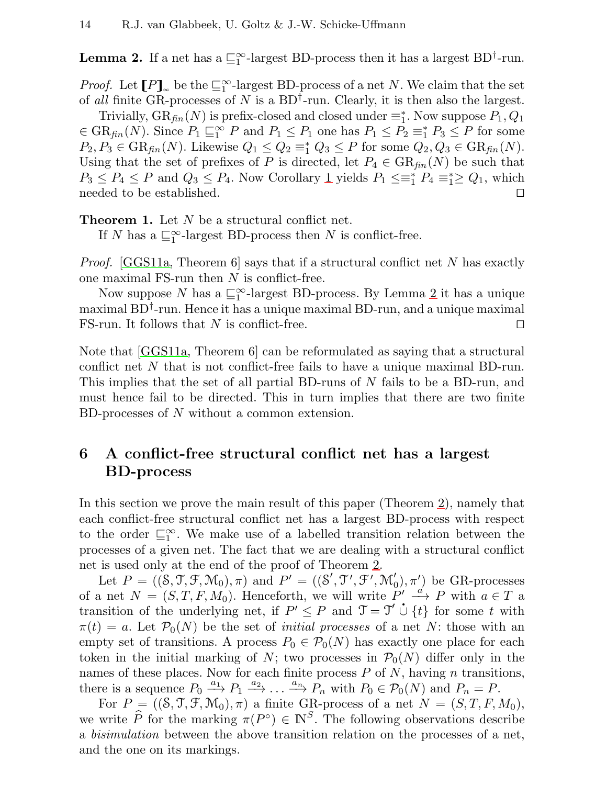**Lemma 2.** If a net has a  $\sqsubseteq^{\infty}_{1}$ -largest BD-process then it has a largest BD<sup>†</sup>-run.

*Proof.* Let  $[P]_{\infty}$  be the  $\sqsubseteq_{1}^{\infty}$ -largest BD-process of a net N. We claim that the set of all finite GR-processes of N is a  $BD^{\dagger}$ -run. Clearly, it is then also the largest.

Trivially,  $\text{GR}_{fin}(N)$  is prefix-closed and closed under  $\equiv_1^*$ . Now suppose  $P_1, Q_1$  $\in \text{GR}_{fin}(N)$ . Since  $P_1 \sqsubseteq_1^{\infty} P$  and  $P_1 \leq P_1$  one has  $P_1 \leq P_2 \equiv_1^* P_3 \leq P$  for some  $P_2, P_3 \in \text{GR}_{fin}(N)$ . Likewise  $Q_1 \leq Q_2 \equiv_1^* Q_3 \leq P$  for some  $Q_2, Q_3 \in \text{GR}_{fin}(N)$ . Using that the set of prefixes of P is directed, let  $P_4 \in \text{GR}_{fin}(N)$  be such that  $P_3 \leq P_4 \leq P$  and  $Q_3 \leq P_4$ . Now Corollary  $\underline{1}$  yields  $P_1 \leq \equiv_1^* P_4 \equiv_1^* \geq Q_1$ , which needed to be established. □

<span id="page-13-2"></span>**Theorem 1.** Let  $N$  be a structural conflict net.

If N has a  $\sqsubseteq^{\infty}_1$ -largest BD-process then N is conflict-free.

*Proof.* [\[GGS11a,](#page-19-8) Theorem 6] says that if a structural conflict net N has exactly one maximal FS-run then N is conflict-free.

Now suppose N has a  $\sqsubseteq^{\infty}_1$ -largest BD-process. By Lemma [2](#page-12-3) it has a unique maximal BD† -run. Hence it has a unique maximal BD-run, and a unique maximal FS-run. It follows that N is conflict-free.  $\Box$ 

Note that [\[GGS11a,](#page-19-8) Theorem 6] can be reformulated as saying that a structural conflict net N that is not conflict-free fails to have a unique maximal BD-run. This implies that the set of all partial BD-runs of N fails to be a BD-run, and must hence fail to be directed. This in turn implies that there are two finite BD-processes of N without a common extension.

## <span id="page-13-0"></span>6 A conflict-free structural conflict net has a largest BD-process

In this section we prove the main result of this paper (Theorem  $2$ ), namely that each conflict-free structural conflict net has a largest BD-process with respect to the order  $\sqsubseteq^{\infty}_1$ . We make use of a labelled transition relation between the processes of a given net. The fact that we are dealing with a structural conflict net is used only at the end of the proof of Theorem [2.](#page-14-1)

Let  $P = ((\mathcal{S}, \mathcal{T}, \mathcal{F}, \mathcal{M}_0), \pi)$  and  $P' = ((\mathcal{S}', \mathcal{T}', \mathcal{F}', \mathcal{M}'_0), \pi')$  be GR-processes Let  $P = ((\delta, J, J, M_0), \pi)$  and  $P = ((\delta, J', J', M_0), \pi')$  be GR-processes<br>of a net  $N = (S, T, F, M_0)$ . Henceforth, we will write  $P' \stackrel{a}{\longrightarrow} P$  with  $a \in T$  a<br>transition of the underlying net if  $P' \leq R$  and  $T \stackrel{\sigma'}{\longrightarrow}$  is (t) for som transition of the underlying net, if  $P' \leq P$  and  $\mathcal{T} = \mathcal{T}' \cup \{t\}$  for some t with  $\pi(t) = a$ . Let  $\mathcal{P}_0(N)$  be the set of *initial processes* of a net N: those with an empty set of transitions. A process  $P_0 \in \mathcal{P}_0(N)$  has exactly one place for each token in the initial marking of N; two processes in  $\mathcal{P}_0(N)$  differ only in the names of these places. Now for each finite process  $P$  of  $N$ , having  $n$  transitions, there is a sequence  $P_0 \stackrel{a_1}{\longrightarrow} P_1 \stackrel{a_2}{\longrightarrow} \ldots \stackrel{a_n}{\longrightarrow} P_n$  with  $P_0 \in \mathcal{P}_0(N)$  and  $P_n = P$ .

<span id="page-13-1"></span>For  $P = ((\mathcal{S}, \mathcal{T}, \mathcal{F}, \mathcal{M}_0), \pi)$  a finite GR-process of a net  $N = (S, T, F, M_0)$ , we write  $\widehat{P}$  for the marking  $\pi(P^{\circ}) \in \mathbb{N}^{S}$ . The following observations describe a bisimulation between the above transition relation on the processes of a net, and the one on its markings.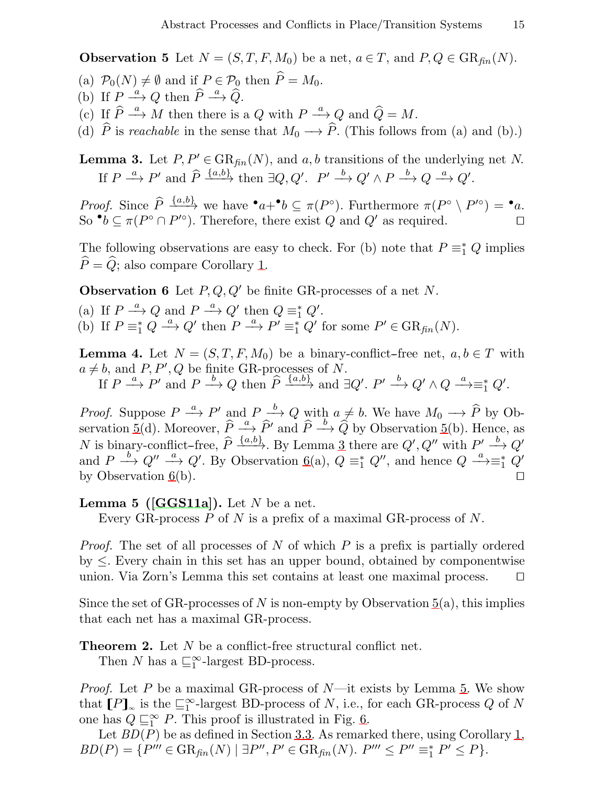**Observation 5** Let  $N = (S, T, F, M_0)$  be a net,  $a \in T$ , and  $P, Q \in \text{GR}_{fin}(N)$ .

- (a)  $\mathcal{P}_0(N) \neq \emptyset$  and if  $P \in \mathcal{P}_0$  then  $\widehat{P} = M_0$ .
- (b) If  $P \xrightarrow{a} Q$  then  $\widehat{P} \xrightarrow{a} \widehat{Q}$ .
- (c) If  $\widehat{P} \stackrel{a}{\longrightarrow} M$  then there is a Q with  $P \stackrel{a}{\longrightarrow} Q$  and  $\widehat{Q} = M$ .
- (d)  $\hat{P}$  is reachable in the sense that  $M_0 \longrightarrow \hat{P}$ . (This follows from (a) and (b).)

<span id="page-14-2"></span>**Lemma 3.** Let  $P, P' \in \text{GR}_{fin}(N)$ , and  $a, b$  transitions of the underlying net N. If  $P \stackrel{a}{\longrightarrow} P'$  and  $\widehat{P} \stackrel{\{a,b\}}{\longrightarrow}$  then  $\exists Q, Q'.\quad P' \stackrel{b}{\longrightarrow} Q' \wedge P \stackrel{b}{\longrightarrow} Q \stackrel{a}{\longrightarrow} Q'.$ 

*Proof.* Since  $\widehat{P} \xrightarrow{\{a,b\}} \text{we have } \bullet a+\bullet b \subseteq \pi(P^{\circ})$ . Furthermore  $\pi(P^{\circ} \setminus P'^{\circ}) = \bullet a$ . So  $\bullet$ *b*  $\subseteq$   $\pi(P^{\circ} \cap P'^{\circ})$ . Therefore, there exist Q and Q' as required. □

<span id="page-14-3"></span>The following observations are easy to check. For (b) note that  $P \equiv_1^* Q$  implies  $\widehat{P} = \widehat{Q}$ ; also compare Corollary [1.](#page-9-1)

**Observation 6** Let  $P, Q, Q'$  be finite GR-processes of a net N.

- (a) If  $P \stackrel{a}{\longrightarrow} Q$  and  $P \stackrel{a}{\longrightarrow} Q'$  then  $Q \equiv_1^* Q'$ .
- (b) If  $P \equiv_1^* Q \stackrel{a}{\longrightarrow} Q'$  then  $P \stackrel{a}{\longrightarrow} P' \equiv_1^* Q'$  for some  $P' \in \text{GR}_{fin}(N)$ .

<span id="page-14-4"></span>**Lemma 4.** Let  $N = (S, T, F, M_0)$  be a binary-conflict-free net,  $a, b \in T$  with  $a \neq b$ , and  $P, P', Q$  be finite GR-processes of N.

If  $P \stackrel{a}{\longrightarrow} P'$  and  $P \stackrel{b}{\longrightarrow} Q$  then  $\widehat{P} \stackrel{\{a,b\}}{\longrightarrow}$  and  $\exists Q'$ .  $P' \stackrel{b}{\longrightarrow} Q' \wedge Q \stackrel{a}{\longrightarrow} \equiv_1^* Q'$ .

*Proof.* Suppose  $P \stackrel{a}{\longrightarrow} P'$  and  $P \stackrel{b}{\longrightarrow} Q$  with  $a \neq b$ . We have  $M_0 \longrightarrow \widehat{P}$  by Observation  $\underline{5}(\mathrm{d})$ . Moreover,  $\widehat{P} \stackrel{a}{\longrightarrow} \widehat{P}'$  and  $\widehat{P} \stackrel{b}{\longrightarrow} \widehat{Q}$  by Observation  $\underline{5}(\mathrm{b})$ . Hence, as N is binary-conflict-free,  $\widehat{P} \xrightarrow{\{a,b\}}$ . By Lemma [3](#page-14-2) there are  $Q', Q''$  with  $P' \xrightarrow{b} Q'$ and  $P \stackrel{b}{\longrightarrow} Q'' \stackrel{a}{\longrightarrow} Q'$ . By Observation  $\underline{6}(\underline{a}), Q \equiv_1^* Q''$ , and hence  $Q \stackrel{a}{\longrightarrow} \equiv_1^* Q'$ by Observation  $\underline{6}$ (b). □

### <span id="page-14-0"></span>**Lemma 5** (**[\[GGS11a\]](#page-19-8)**). Let N be a net.

Every GR-process P of N is a prefix of a maximal GR-process of N.

*Proof.* The set of all processes of N of which  $P$  is a prefix is partially ordered by  $\leq$ . Every chain in this set has an upper bound, obtained by componentwise union. Via Zorn's Lemma this set contains at least one maximal process. □

<span id="page-14-1"></span>Since the set of GR-processes of N is non-empty by Observation  $\underline{5}(\mathbf{a})$ , this implies that each net has a maximal GR-process.

**Theorem 2.** Let N be a conflict-free structural conflict net. Then  $N$  has a  $\sqsubseteq_{1}^{\infty}$ -largest BD-process.

*Proof.* Let P be a maximal GR-process of  $N$ —it exists by Lemma [5.](#page-14-0) We show that  $[P]_{\infty}$  is the  $\sqsubseteq_{1}^{\infty}$ -largest BD-process of N, i.e., for each GR-process Q of N one has  $Q \sqsubseteq_{1}^{\infty} P$ . This proof is illustrated in Fig. [6.](#page-15-0)

Let  $BD(P)$  be as defined in Section [3.3.](#page-9-0) As remarked there, using Corollary [1,](#page-9-1)  $BD(P) = \{P''' \in \text{GR}_{fin}(N) \mid \exists P'', P' \in \text{GR}_{fin}(N). P''' \le P'' \equiv_1^* P' \le P\}.$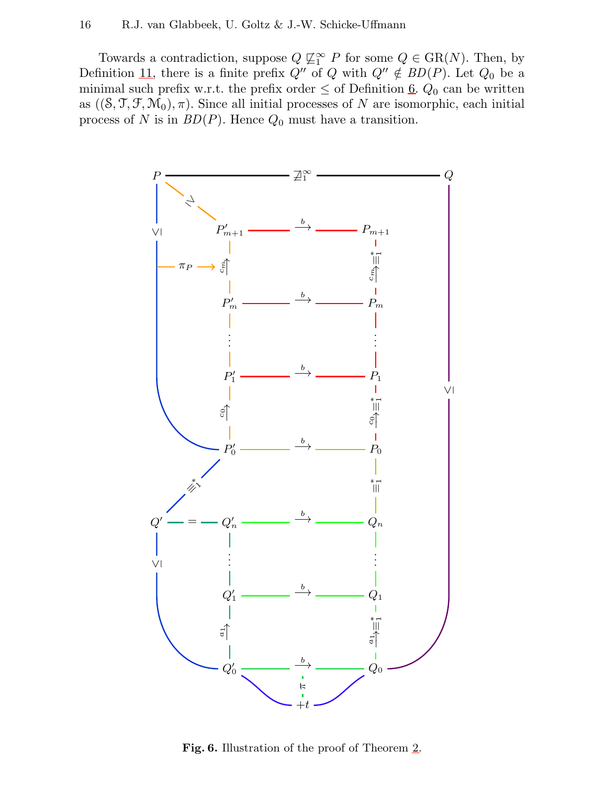Towards a contradiction, suppose  $Q \not\sqsubseteq^{\infty}_{1} P$  for some  $Q \in \text{GR}(N)$ . Then, by Definition [11,](#page-8-6) there is a finite prefix  $Q''$  of Q with  $Q'' \notin BD(P)$ . Let  $Q_0$  be a minimal such prefix w.r.t. the prefix order  $\leq$  of Definition [6.](#page-6-3)  $Q_0$  can be written as  $((\mathcal{S}, \mathcal{T}, \mathcal{F}, \mathcal{M}_0), \pi)$ . Since all initial processes of N are isomorphic, each initial process of N is in  $BD(P)$ . Hence  $Q_0$  must have a transition.



<span id="page-15-0"></span>Fig. 6. Illustration of the proof of Theorem [2.](#page-14-1)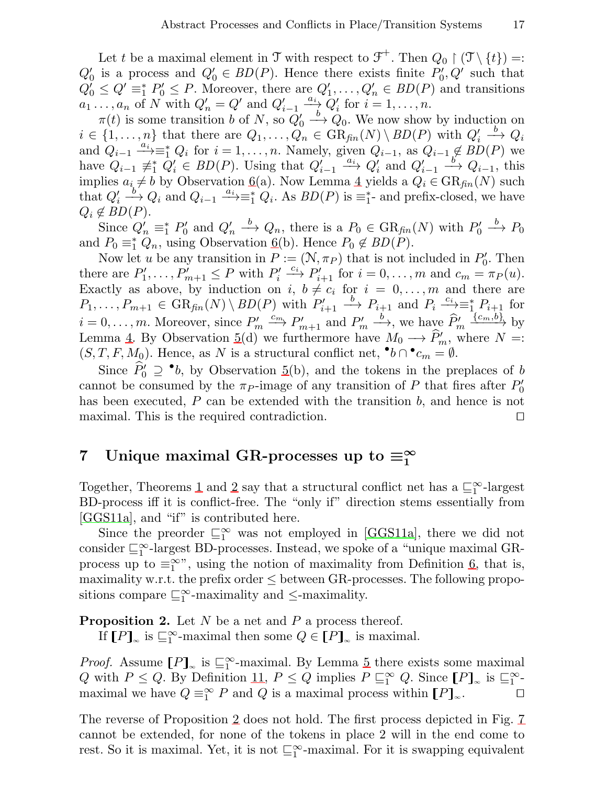Let t be a maximal element in  $\mathfrak T$  with respect to  $\mathfrak F^+$ . Then  $Q_0 \restriction (\mathfrak T \setminus \{t\}) =:$  $Q'_0$  is a process and  $Q'_0 \in BD(P)$ . Hence there exists finite  $P'_0, Q'$  such that  $Q'_0 \leq Q' \equiv_1^* P'_0 \leq P$ . Moreover, there are  $Q'_1, \ldots, Q'_n \in BD(P)$  and transitions  $a_1 \ldots, a_n$  of N with  $Q'_n = Q'$  and  $Q'_{i-1} \stackrel{a_i}{\longrightarrow} Q'_i$  for  $i = 1, \ldots, n$ .

 $\pi(t)$  is some transition b of N, so  $Q'_0$  $\stackrel{b}{\longrightarrow} Q_0$ . We now show by induction on  $i \in \{1, \ldots, n\}$  that there are  $Q_1, \ldots, Q_n \in \text{GR}_{fin}(N) \setminus BD(P)$  with  $Q'_i$  $\stackrel{b}{\longrightarrow} Q_i$ and  $Q_{i-1} \stackrel{a_i}{\longrightarrow} \equiv^*_{1} Q_i$  for  $i = 1, \ldots, n$ . Namely, given  $Q_{i-1}$ , as  $Q_{i-1} \not\in BD(P)$  we have  $Q_{i-1} \not\equiv_1^* Q_i' \in BD(P)$ . Using that  $Q'_{i-1} \stackrel{a_i}{\longrightarrow} Q'_i$  and  $Q'_{i-1}$  $\stackrel{\cdot}{\longrightarrow} Q_{i-1}$ , this implies  $a_{i} \neq b$  by Observation [6\(](#page-14-3)a). Now Lemma [4](#page-14-4) yields a  $Q_i \in \text{GR}_{fin}(N)$  such that  $Q_i'$  $\stackrel{b'}{\longrightarrow} Q_i$  and  $Q_{i-1} \stackrel{a_i}{\longrightarrow} \equiv^*_1 Q_i$ . As  $BD(P)$  is  $\equiv^*_{1}$ - and prefix-closed, we have  $Q_i \notin BD(P)$ .

Since  $Q'_n \equiv_1^* P'_0$  and  $Q'_n$  $\stackrel{b}{\longrightarrow} Q_n$ , there is a  $P_0 \in \text{GR}_{fin}(N)$  with  $P'_0$  $\stackrel{b}{\longrightarrow} P_0$ and  $P_0 \equiv_1^* Q_n$ , using Observation <u>6</u>(b). Hence  $P_0 \notin BD(P)$ .

Now let u be any transition in  $P := (\mathcal{N}, \pi_P)$  that is not included in  $P'_0$ . Then there are  $P'_1, \ldots, P'_{m+1} \leq P$  with  $P'_i \stackrel{c_i}{\longrightarrow} P'_{i+1}$  for  $i = 0, \ldots, m$  and  $c_m = \pi_P(u)$ . Exactly as above, by induction on i,  $b \neq c_i$  for  $i = 0, \ldots, m$  and there are  $P_1, \ldots, P_{m+1} \in \text{GR}_{fin}(N) \setminus BD(P)$  with  $P'_{i+1}$  $\stackrel{b}{\longrightarrow} P_{i+1}$  and  $P_i \stackrel{c_i}{\longrightarrow} \equiv^*_{1} P_{i+1}$  for  $i = 0, \ldots, m$ . Moreover, since  $P'_m \xrightarrow{c_{m}} P'_{m+1}$  and  $P'_m$  $\stackrel{b}{\longrightarrow}$ , we have  $\widehat{P}'_m \stackrel{\{c_m, b\}}{\longrightarrow}$  by Lemma [4.](#page-14-4) By Observation  $\underline{5}(d)$  we furthermore have  $M_0 \longrightarrow \widehat{P}'_m$ , where  $N =$ :  $(S, T, F, M_0)$ . Hence, as N is a structural conflict net,  $\bullet b \cap \bullet c_m = \emptyset$ .

Since  $\widehat{P}_0' \supseteq {}^{\bullet}b$ , by Observation [5\(](#page-13-1)b), and the tokens in the preplaces of b cannot be consumed by the  $\pi_P$ -image of any transition of P that fires after  $P'_0$ has been executed, P can be extended with the transition b, and hence is not maximal. This is the required contradiction. ⊓⊔

# <span id="page-16-0"></span>7 Unique maximal GR-processes up to  $\equiv_1^\infty$

Together, Theorems  $\underline{1}$  and  $\underline{2}$  say that a structural conflict net has a  $\sqsubseteq^{\infty}_1$ -largest BD-process iff it is conflict-free. The "only if" direction stems essentially from [\[GGS11a\]](#page-19-8), and "if" is contributed here.

Since the preorder  $\sqsubseteq_{1}^{\infty}$  was not employed in [\[GGS11a\]](#page-19-8), there we did not consider  $\sqsubseteq^{\infty}_1$ -largest BD-processes. Instead, we spoke of a "unique maximal GRprocess up to  $\equiv_1^{\infty}$ , using the notion of maximality from Definition [6,](#page-6-3) that is, maximality w.r.t. the prefix order  $\leq$  between GR-processes. The following propositions compare  $\sqsubseteq_{1}^{\infty}$ -maximality and  $\leq$ -maximality.

<span id="page-16-1"></span>**Proposition 2.** Let  $N$  be a net and  $P$  a process thereof.

If  $[P]_{\infty}$  is  $\sqsubseteq_{1}^{\infty}$ -maximal then some  $Q \in [P]_{\infty}$  is maximal.

*Proof.* Assume  $[P]_{\infty}$  is  $\sqsubseteq_{1}^{\infty}$ -maximal. By Lemma [5](#page-14-0) there exists some maximal Q with  $P \le Q$ . By Definition [11,](#page-8-6)  $P \le Q$  implies  $P \sqsubseteq_1^{\infty} Q$ . Since  $[P]_{\infty}$  is  $\sqsubseteq_1^{\infty}$ maximal we have  $Q \equiv_1^\infty P$  and  $Q$  is a maximal process within  $[P]_{\infty}$ . □

The reverse of Proposition [2](#page-16-1) does not hold. The first process depicted in Fig. [7](#page-17-0) cannot be extended, for none of the tokens in place 2 will in the end come to rest. So it is maximal. Yet, it is not  $\sqsubseteq_{1}^{\infty}$ -maximal. For it is swapping equivalent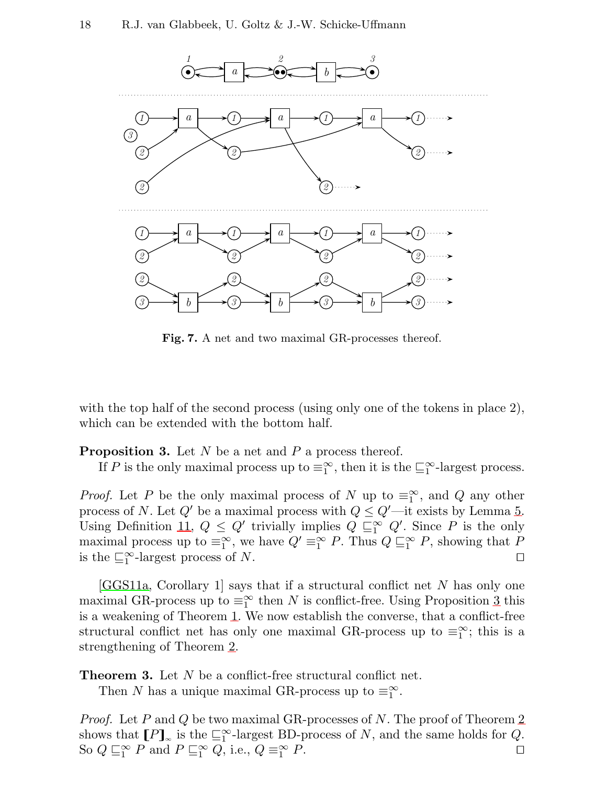

<span id="page-17-0"></span>Fig. 7. A net and two maximal GR-processes thereof.

<span id="page-17-1"></span>with the top half of the second process (using only one of the tokens in place 2), which can be extended with the bottom half.

**Proposition 3.** Let  $N$  be a net and  $P$  a process thereof.

If P is the only maximal process up to  $\equiv_1^{\infty}$ , then it is the  $\sqsubseteq_1^{\infty}$ -largest process.

*Proof.* Let P be the only maximal process of N up to  $\equiv_1^{\infty}$ , and Q any other process of N. Let  $Q'$  be a maximal process with  $Q \leq Q'$ —it exists by Lemma [5.](#page-14-0) Using Definition [11,](#page-8-6)  $Q \leq Q'$  trivially implies  $Q \sqsubseteq_{1}^{\infty} Q'$ . Since P is the only maximal process up to  $\equiv_1^{\infty}$ , we have  $Q' \equiv_1^{\infty} P$ . Thus  $Q \sqsubseteq_1^{\infty} P$ , showing that P is the  $\sqsubseteq^{\infty}_1$ -largest process of N. □

[\[GGS11a,](#page-19-8) Corollary 1] says that if a structural conflict net N has only one maximal GR-process up to  $\equiv_1^{\infty}$  then N is conflict-free. Using Proposition <u>3</u> this is a weakening of Theorem  $\underline{1}$ . We now establish the converse, that a conflict-free structural conflict net has only one maximal GR-process up to  $\equiv_1^{\infty}$ ; this is a strengthening of Theorem [2.](#page-14-1)

**Theorem 3.** Let N be a conflict-free structural conflict net.

Then N has a unique maximal GR-process up to  $\equiv_1^\infty$ .

*Proof.* Let P and Q be two maximal GR-processes of N. The proof of Theorem  $2$ shows that  $[P]_{\infty}$  is the  $\subseteq_{1}^{\infty}$ -largest BD-process of N, and the same holds for Q. So  $Q \sqsubseteq^{\infty}_1 P$  and  $P \sqsubseteq^{\infty}_1 Q$ , i.e.,  $Q \equiv^{\infty}_1$  $\sum_{1}^{\infty} P.$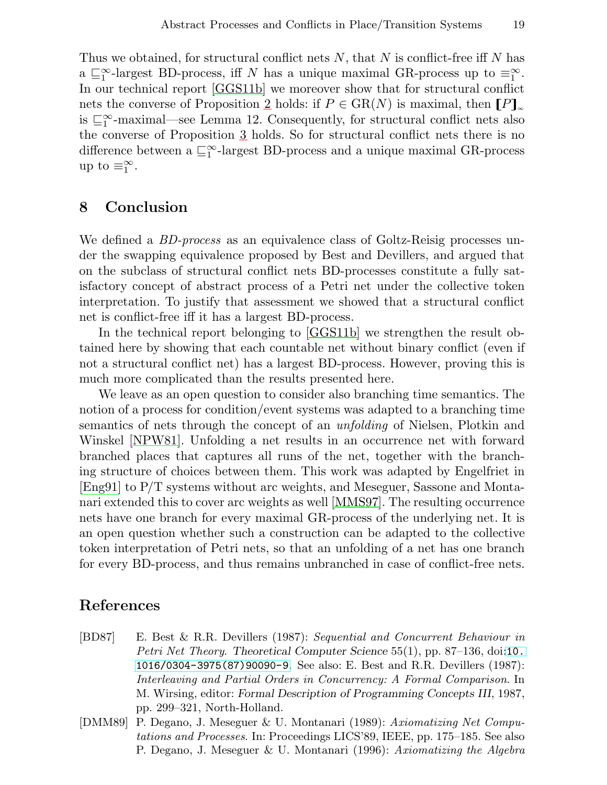Thus we obtained, for structural conflict nets  $N$ , that  $N$  is conflict-free iff  $N$  has a  $\sqsubseteq^{\infty}_1$ -largest BD-process, iff N has a unique maximal GR-process up to  $\equiv^{\infty}_1$ . In our technical report  $[GGS11b]$  we moreover show that for structural conflict nets the converse of Proposition [2](#page-16-1) holds: if  $P \in \text{GR}(N)$  is maximal, then  $[P]_{\infty}$ is  $\sqsubseteq^{\infty}_{1}$ -maximal—see Lemma 12. Consequently, for structural conflict nets also the converse of Proposition  $\overline{3}$  holds. So for structural conflict nets there is no difference between a  $\sqsubseteq^{\infty}_1$ -largest BD-process and a unique maximal GR-process up to  $\equiv_1^\infty$ .

## 8 Conclusion

We defined a *BD-process* as an equivalence class of Goltz-Reisig processes under the swapping equivalence proposed by Best and Devillers, and argued that on the subclass of structural conflict nets BD-processes constitute a fully satisfactory concept of abstract process of a Petri net under the collective token interpretation. To justify that assessment we showed that a structural conflict net is conflict-free iff it has a largest BD-process.

In the technical report belonging to [\[GGS11b\]](#page-19-9) we strengthen the result obtained here by showing that each countable net without binary conflict (even if not a structural conflict net) has a largest BD-process. However, proving this is much more complicated than the results presented here.

We leave as an open question to consider also branching time semantics. The notion of a process for condition/event systems was adapted to a branching time semantics of nets through the concept of an unfolding of Nielsen, Plotkin and Winskel [\[NPW81\]](#page-20-8). Unfolding a net results in an occurrence net with forward branched places that captures all runs of the net, together with the branching structure of choices between them. This work was adapted by Engelfriet in [\[Eng91\]](#page-19-13) to P/T systems without arc weights, and Meseguer, Sassone and Monta-nari extended this to cover arc weights as well [\[MMS97\]](#page-20-9). The resulting occurrence nets have one branch for every maximal GR-process of the underlying net. It is an open question whether such a construction can be adapted to the collective token interpretation of Petri nets, so that an unfolding of a net has one branch for every BD-process, and thus remains unbranched in case of conflict-free nets.

### References

- <span id="page-18-0"></span>[BD87] E. Best & R.R. Devillers (1987): Sequential and Concurrent Behaviour in Petri Net Theory. Theoretical Computer Science 55(1), pp. 87–136, doi:[10.](http://dx.doi.org/10.1016/0304-3975(87)90090-9) [1016/0304-3975\(87\)90090-9](http://dx.doi.org/10.1016/0304-3975(87)90090-9). See also: E. Best and R.R. Devillers (1987): Interleaving and Partial Orders in Concurrency: A Formal Comparison. In M. Wirsing, editor: Formal Description of Programming Concepts III, 1987, pp. 299–321, North-Holland.
- <span id="page-18-1"></span>[DMM89] P. Degano, J. Meseguer & U. Montanari (1989): Axiomatizing Net Computations and Processes. In: Proceedings LICS'89, IEEE, pp. 175–185. See also P. Degano, J. Meseguer & U. Montanari (1996): Axiomatizing the Algebra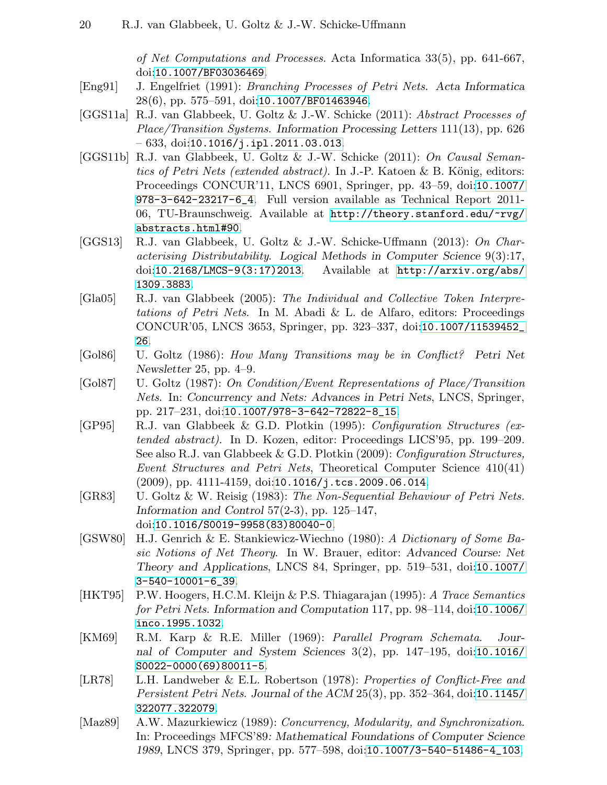of Net Computations and Processes. Acta Informatica 33(5), pp. 641-667, doi:[10.1007/BF03036469](http://dx.doi.org/10.1007/BF03036469).

- <span id="page-19-13"></span>[Eng91] J. Engelfriet (1991): Branching Processes of Petri Nets. Acta Informatica 28(6), pp. 575–591, doi:[10.1007/BF01463946](http://dx.doi.org/10.1007/BF01463946).
- <span id="page-19-8"></span>[GGS11a] R.J. van Glabbeek, U. Goltz & J.-W. Schicke (2011): Abstract Processes of Place/Transition Systems. Information Processing Letters 111(13), pp. 626  $-633, \text{ doi:10.1016/j.ipl.2011.03.013.}$  $-633, \text{ doi:10.1016/j.ipl.2011.03.013.}$  $-633, \text{ doi:10.1016/j.ipl.2011.03.013.}$
- <span id="page-19-9"></span>[GGS11b] R.J. van Glabbeek, U. Goltz & J.-W. Schicke (2011): On Causal Semantics of Petri Nets (extended abstract). In J.-P. Katoen  $\&$  B. König, editors: Proceedings CONCUR'11, LNCS 6901, Springer, pp. 43–59, doi:[10.1007/](http://dx.doi.org/10.1007/978-3-642-23217-6_4) [978-3-642-23217-6\\_4](http://dx.doi.org/10.1007/978-3-642-23217-6_4). Full version available as Technical Report 2011- 06, TU-Braunschweig. Available at [http://theory.stanford.edu/~rvg/](http://theory.stanford.edu/~rvg/abstracts.html#90) [abstracts.html#90](http://theory.stanford.edu/~rvg/abstracts.html#90).
- <span id="page-19-12"></span>[GGS13] R.J. van Glabbeek, U. Goltz & J.-W. Schicke-Uffmann (2013): On Characterising Distributability. Logical Methods in Computer Science 9(3):17, doi:[10.2168/LMCS-9\(3:17\)2013](http://dx.doi.org/10.2168/LMCS-9(3:17)2013). Available at [http://arxiv.org/abs/](http://arxiv.org/abs/1309.3883) [1309.3883](http://arxiv.org/abs/1309.3883).
- <span id="page-19-6"></span>[Gla05] R.J. van Glabbeek (2005): The Individual and Collective Token Interpretations of Petri Nets. In M. Abadi & L. de Alfaro, editors: Proceedings CONCUR'05, LNCS 3653, Springer, pp. 323–337, doi:[10.1007/11539452\\_](http://dx.doi.org/10.1007/11539452_26) [26](http://dx.doi.org/10.1007/11539452_26).
- <span id="page-19-3"></span>[Gol86] U. Goltz (1986): How Many Transitions may be in Conflict? Petri Net Newsletter 25, pp. 4–9.
- <span id="page-19-2"></span>[Gol87] U. Goltz (1987): On Condition/Event Representations of Place/Transition Nets. In: Concurrency and Nets: Advances in Petri Nets, LNCS, Springer, pp. 217–231, doi:[10.1007/978-3-642-72822-8\\_15](http://dx.doi.org/10.1007/978-3-642-72822-8_15).
- <span id="page-19-5"></span>[GP95] R.J. van Glabbeek & G.D. Plotkin (1995): Configuration Structures (extended abstract). In D. Kozen, editor: Proceedings LICS'95, pp. 199–209. See also R.J. van Glabbeek & G.D. Plotkin (2009): Configuration Structures, Event Structures and Petri Nets, Theoretical Computer Science 410(41) (2009), pp. 4111-4159, doi:[10.1016/j.tcs.2009.06.014](http://dx.doi.org/10.1016/j.tcs.2009.06.014).
- <span id="page-19-1"></span>[GR83] U. Goltz & W. Reisig (1983): The Non-Sequential Behaviour of Petri Nets. Information and Control 57(2-3), pp. 125–147, doi:[10.1016/S0019-9958\(83\)80040-0](http://dx.doi.org/10.1016/S0019-9958(83)80040-0).
- <span id="page-19-0"></span>[GSW80] H.J. Genrich & E. Stankiewicz-Wiechno (1980): A Dictionary of Some Basic Notions of Net Theory. In W. Brauer, editor: Advanced Course: Net Theory and Applications, LNCS 84, Springer, pp. 519–531, doi:[10.1007/](http://dx.doi.org/10.1007/3-540-10001-6_39) [3-540-10001-6\\_39](http://dx.doi.org/10.1007/3-540-10001-6_39).
- <span id="page-19-4"></span>[HKT95] P.W. Hoogers, H.C.M. Kleijn & P.S. Thiagarajan (1995): A Trace Semantics for Petri Nets. Information and Computation 117, pp. 98–114, doi:[10.1006/](http://dx.doi.org/10.1006/inco.1995.1032) [inco.1995.1032](http://dx.doi.org/10.1006/inco.1995.1032).
- <span id="page-19-10"></span>[KM69] R.M. Karp & R.E. Miller (1969): Parallel Program Schemata. Journal of Computer and System Sciences 3(2), pp. 147–195, doi:[10.1016/](http://dx.doi.org/10.1016/S0022-0000(69)80011-5) [S0022-0000\(69\)80011-5](http://dx.doi.org/10.1016/S0022-0000(69)80011-5).
- <span id="page-19-11"></span>[LR78] L.H. Landweber & E.L. Robertson (1978): Properties of Conflict-Free and Persistent Petri Nets. Journal of the ACM 25(3), pp. 352–364, doi:[10.1145/](http://dx.doi.org/10.1145/322077.322079) [322077.322079](http://dx.doi.org/10.1145/322077.322079).
- <span id="page-19-7"></span>[Maz89] A.W. Mazurkiewicz (1989): Concurrency, Modularity, and Synchronization. In: Proceedings MFCS'89: Mathematical Foundations of Computer Science 1989, LNCS 379, Springer, pp. 577–598, doi:[10.1007/3-540-51486-4\\_103](http://dx.doi.org/10.1007/3-540-51486-4_103).